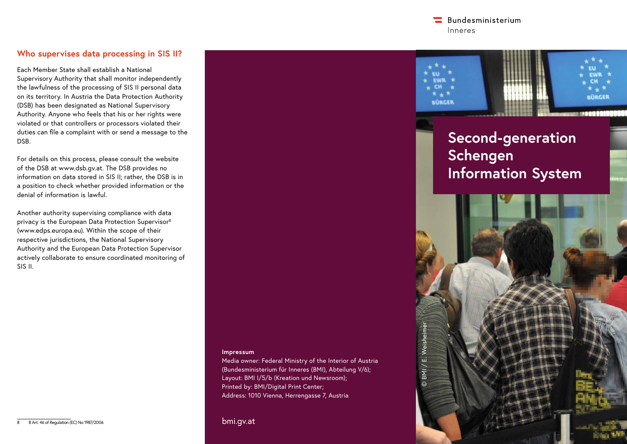$\blacksquare$  Bundesministerium Inneres

# **Who supervises data processing in SIS II?**

Each Member State shall establish a National Supervisory Authority that shall monitor independently the lawfulness of the processing of SIS II personal data on its territory. In Austria the Data Protection Authority (DSB) has been designated as National Supervisory Authority. Anyone who feels that his or her rights were violated or that controllers or processors violated their duties can file a complaint with or send a message to the DSB.

For details on this process, please consult the website of the DSB at www.dsb.gv.at. The DSB provides no information on data stored in SIS II; rather, the DSB is in a position to check whether provided information or the denial of information is lawful.

Another authority supervising compliance with data privacy is the European Data Protection Supervisor8 (www.edps.europa.eu). Within the scope of their respective jurisdictions, the National Supervisory Authority and the European Data Protection Supervisor actively collaborate to ensure coordinated monitoring of SIS II.

#### **Impressum**

Media owner: Federal Ministry of the Interior of Austria (Bundesministerium für Inneres (BMI), Abteilung V/6); Layout: BMI I/5/b (Kreation und Newsroom); Printed by: BMI/Digital Print Center; Address: 1010 Vienna, Herrengasse 7, Austria

bmi.gv.at



# **Second-generation Schengen Information System**